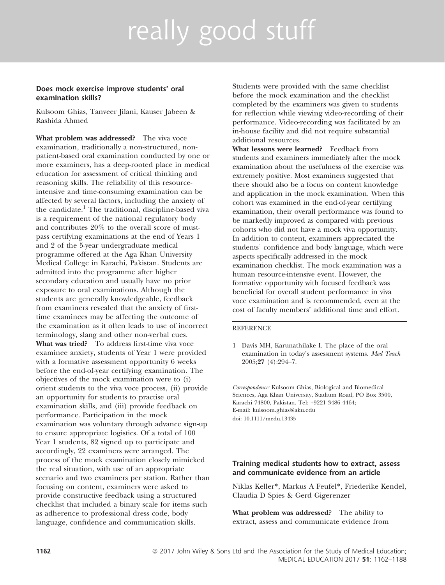# really good stuff

## Does mock exercise improve students' oral examination skills?

Kulsoom Ghias, Tanveer Jilani, Kauser Jabeen & Rashida Ahmed

What problem was addressed? The viva voce examination, traditionally a non-structured, nonpatient-based oral examination conducted by one or more examiners, has a deep-rooted place in medical education for assessment of critical thinking and reasoning skills. The reliability of this resourceintensive and time-consuming examination can be affected by several factors, including the anxiety of the candidate.<sup>1</sup> The traditional, discipline-based viva is a requirement of the national regulatory body and contributes 20% to the overall score of mustpass certifying examinations at the end of Years 1 and 2 of the 5-year undergraduate medical programme offered at the Aga Khan University Medical College in Karachi, Pakistan. Students are admitted into the programme after higher secondary education and usually have no prior exposure to oral examinations. Although the students are generally knowledgeable, feedback from examiners revealed that the anxiety of firsttime examinees may be affecting the outcome of the examination as it often leads to use of incorrect terminology, slang and other non-verbal cues. What was tried? To address first-time viva voce examinee anxiety, students of Year 1 were provided with a formative assessment opportunity 6 weeks before the end-of-year certifying examination. The objectives of the mock examination were to (i) orient students to the viva voce process, (ii) provide an opportunity for students to practise oral examination skills, and (iii) provide feedback on performance. Participation in the mock examination was voluntary through advance sign-up to ensure appropriate logistics. Of a total of 100 Year 1 students, 82 signed up to participate and accordingly, 22 examiners were arranged. The process of the mock examination closely mimicked the real situation, with use of an appropriate scenario and two examiners per station. Rather than focusing on content, examiners were asked to provide constructive feedback using a structured checklist that included a binary scale for items such as adherence to professional dress code, body language, confidence and communication skills.

Students were provided with the same checklist before the mock examination and the checklist completed by the examiners was given to students for reflection while viewing video-recording of their performance. Video-recording was facilitated by an in-house facility and did not require substantial additional resources.

What lessons were learned? Feedback from students and examiners immediately after the mock examination about the usefulness of the exercise was extremely positive. Most examiners suggested that there should also be a focus on content knowledge and application in the mock examination. When this cohort was examined in the end-of-year certifying examination, their overall performance was found to be markedly improved as compared with previous cohorts who did not have a mock viva opportunity. In addition to content, examiners appreciated the students' confidence and body language, which were aspects specifically addressed in the mock examination checklist. The mock examination was a human resource-intensive event. However, the formative opportunity with focused feedback was beneficial for overall student performance in viva voce examination and is recommended, even at the cost of faculty members' additional time and effort.

### **REFERENCE**

1 Davis MH, Karunathilake I. The place of the oral examination in today's assessment systems. Med Teach 2005;27 (4):294–7.

Correspondence: Kulsoom Ghias, Biological and Biomedical Sciences, Aga Khan University, Stadium Road, PO Box 3500, Karachi 74800, Pakistan. Tel: +9221 3486 4464; E-mail: kulsoom.ghias@aku.edu doi: 10.1111/medu.13435

### Training medical students how to extract, assess and communicate evidence from an article

Niklas Keller\*, Markus A Feufel\*, Friederike Kendel, Claudia D Spies & Gerd Gigerenzer

What problem was addressed? The ability to extract, assess and communicate evidence from